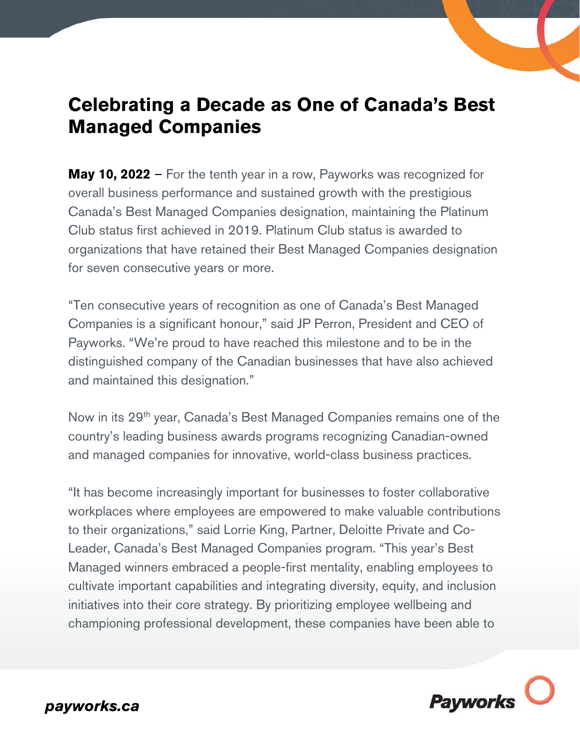## **Celebrating a Decade as One of Canada's Best Managed Companies**

**May 10, 2022** – For the tenth year in a row, Payworks was recognized for overall business performance and sustained growth with the prestigious Canada's Best Managed Companies designation, maintaining the Platinum Club status first achieved in 2019. Platinum Club status is awarded to organizations that have retained their Best Managed Companies designation for seven consecutive years or more.

"Ten consecutive years of recognition as one of Canada's Best Managed Companies is a significant honour," said JP Perron, President and CEO of Payworks. "We're proud to have reached this milestone and to be in the distinguished company of the Canadian businesses that have also achieved and maintained this designation."

Now in its 29<sup>th</sup> year, Canada's Best Managed Companies remains one of the country's leading business awards programs recognizing Canadian-owned and managed companies for innovative, world-class business practices.

"It has become increasingly important for businesses to foster collaborative workplaces where employees are empowered to make valuable contributions to their organizations," said Lorrie King, Partner, Deloitte Private and Co-Leader, Canada's Best Managed Companies program. "This year's Best Managed winners embraced a people-first mentality, enabling employees to cultivate important capabilities and integrating diversity, equity, and inclusion initiatives into their core strategy. By prioritizing employee wellbeing and championing professional development, these companies have been able to

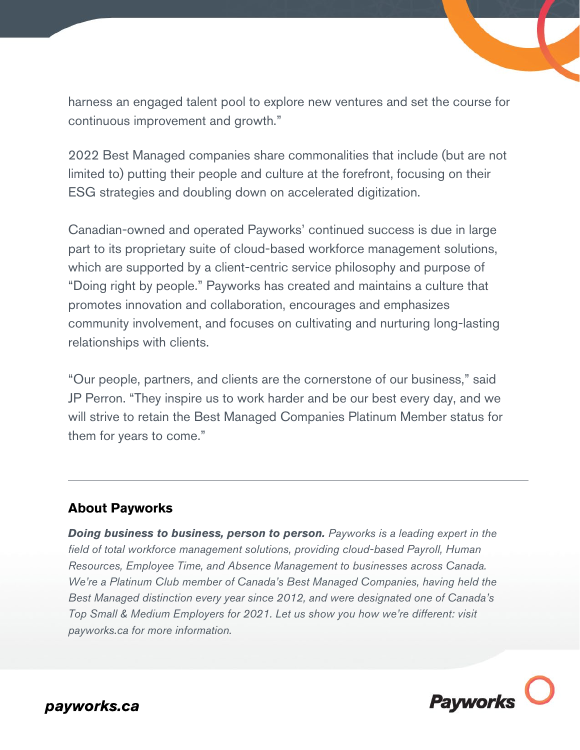harness an engaged talent pool to explore new ventures and set the course for continuous improvement and growth."

2022 Best Managed companies share commonalities that include (but are not limited to) putting their people and culture at the forefront, focusing on their ESG strategies and doubling down on accelerated digitization.

Canadian-owned and operated Payworks' continued success is due in large part to its proprietary suite of cloud-based workforce management solutions, which are supported by a client-centric service philosophy and purpose of "Doing right by people." Payworks has created and maintains a culture that promotes innovation and collaboration, encourages and emphasizes community involvement, and focuses on cultivating and nurturing long-lasting relationships with clients.

"Our people, partners, and clients are the cornerstone of our business," said JP Perron. "They inspire us to work harder and be our best every day, and we will strive to retain the Best Managed Companies Platinum Member status for them for years to come."

## **About Payworks**

*Doing business to business, person to person. Payworks is a leading expert in the field of total workforce management solutions, providing cloud-based Payroll, Human Resources, Employee Time, and Absence Management to businesses across Canada. We're a Platinum Club member of Canada's Best Managed Companies, having held the Best Managed distinction every year since 2012, and were designated one of Canada's Top Small & Medium Employers for 2021. Let us show you how we're different: visit payworks.ca for more information.* 



payworks.ca